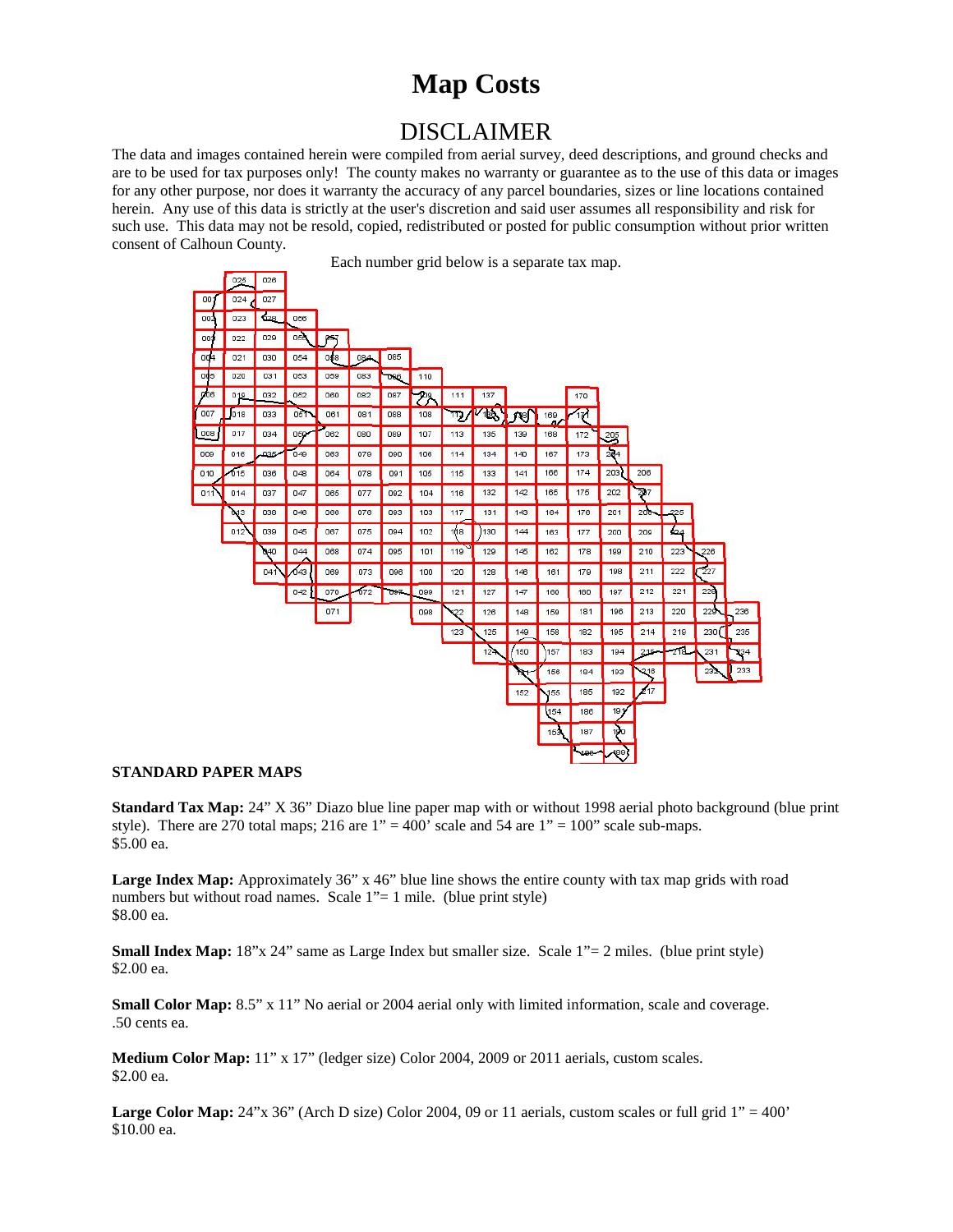# **Map Costs**

## DISCLAIMER

The data and images contained herein were compiled from aerial survey, deed descriptions, and ground checks and are to be used for tax purposes only! The county makes no warranty or guarantee as to the use of this data or images for any other purpose, nor does it warranty the accuracy of any parcel boundaries, sizes or line locations contained herein. Any use of this data is strictly at the user's discretion and said user assumes all responsibility and risk for such use. This data may not be resold, copied, redistributed or posted for public consumption without prior written consent of Calhoun County.



#### **STANDARD PAPER MAPS**

**Standard Tax Map:** 24" X 36" Diazo blue line paper map with or without 1998 aerial photo background (blue print style). There are 270 total maps; 216 are  $1" = 400"$  scale and 54 are  $1" = 100"$  scale sub-maps. \$5.00 ea.

Large Index Map: Approximately 36" x 46" blue line shows the entire county with tax map grids with road numbers but without road names. Scale 1"= 1 mile. (blue print style) \$8.00 ea.

**Small Index Map:** 18"x 24" same as Large Index but smaller size. Scale 1"= 2 miles. (blue print style) \$2.00 ea.

**Small Color Map:** 8.5" x 11" No aerial or 2004 aerial only with limited information, scale and coverage. .50 cents ea.

**Medium Color Map:** 11" x 17" (ledger size) Color 2004, 2009 or 2011 aerials, custom scales. \$2.00 ea.

**Large Color Map:** 24"x 36" (Arch D size) Color 2004, 09 or 11 aerials, custom scales or full grid 1" = 400' \$10.00 ea.